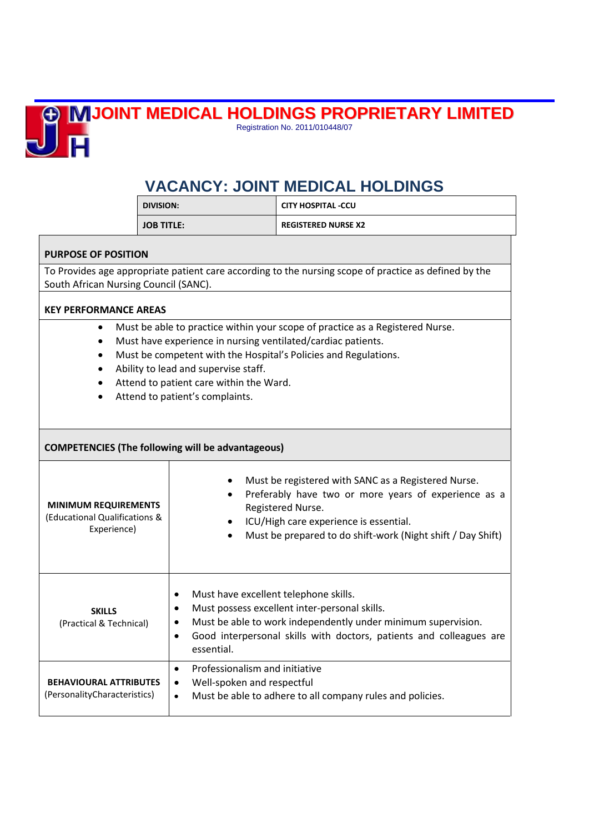## **JOINT MEDICAL HOLDINGS PROPRIETARY LIMITED**



Registration No. 2011/010448/07

## **VACANCY: JOINT MEDICAL HOLDINGS**

| <b>DIVISION:</b>  | <b>CITY HOSPITAL -CCU</b>  |
|-------------------|----------------------------|
| <b>JOB TITLE:</b> | <b>REGISTERED NURSE X2</b> |

## **PURPOSE OF POSITION**

To Provides age appropriate patient care according to the nursing scope of practice as defined by the South African Nursing Council (SANC).

## **KEY PERFORMANCE AREAS**

- Must be able to practice within your scope of practice as a Registered Nurse.
- Must have experience in nursing ventilated/cardiac patients.
- Must be competent with the Hospital's Policies and Regulations.
- Ability to lead and supervise staff.
- Attend to patient care within the Ward.
- Attend to patient's complaints.

| <b>COMPETENCIES (The following will be advantageous)</b>                    |                                                                                                                                                                                                                                                                                  |  |
|-----------------------------------------------------------------------------|----------------------------------------------------------------------------------------------------------------------------------------------------------------------------------------------------------------------------------------------------------------------------------|--|
| <b>MINIMUM REQUIREMENTS</b><br>(Educational Qualifications &<br>Experience) | Must be registered with SANC as a Registered Nurse.<br>Preferably have two or more years of experience as a<br>Registered Nurse.<br>ICU/High care experience is essential.<br>Must be prepared to do shift-work (Night shift / Day Shift)                                        |  |
| <b>SKILLS</b><br>(Practical & Technical)                                    | Must have excellent telephone skills.<br>$\bullet$<br>Must possess excellent inter-personal skills.<br>٠<br>Must be able to work independently under minimum supervision.<br>٠<br>Good interpersonal skills with doctors, patients and colleagues are<br>$\bullet$<br>essential. |  |
| <b>BEHAVIOURAL ATTRIBUTES</b><br>(PersonalityCharacteristics)               | Professionalism and initiative<br>٠<br>Well-spoken and respectful<br>٠<br>Must be able to adhere to all company rules and policies.<br>$\bullet$                                                                                                                                 |  |